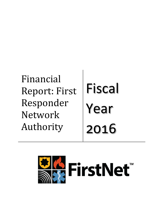Financial Report: First Responder Network Authority

Fiscal Year 2016

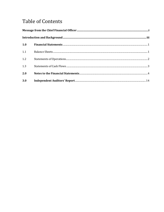# **Table of Contents**

| 1.1 |  |
|-----|--|
| 1.2 |  |
| 1.3 |  |
| 2.0 |  |
| 3.0 |  |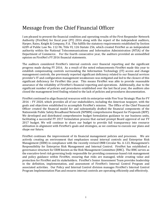# <span id="page-2-0"></span>Message from the Chief Financial Officer

I am pleased to present the financial condition and operating results of the First Responder Network Authority (FirstNet) for fiscal year (FY) 2016 along with the report of the independent auditors, Harper, Rains, Knight & Company, P.A. This fulfills the statutory requirements established by Section 6209 of Public Law No. 112-96, Title VI, 126 Statute 256, which created FirstNet as an independent authority within the National Telecommunications and Information Administration (NTIA) of the Department of Commerce. For the fourth consecutive year, the auditors provided an unmodified opinion on FirstNet's FY 2016 financial statements.

The auditors considered FirstNet's internal controls over financial reporting and the significant progress made during FY 2016. As a result of the noted enhancements FirstNet made this year to establish compensating controls surrounding the Information Technology (IT) access and change management controls, the previously reported significant deficiency related to our financial services provider's IT and configuration management weaknesses was mitigated and led to the closure of this significant deficiency for FirstNet this year. This means FirstNet was able to provide reasonable assurance of the reliability of FirstNet's financial reporting and operations. Additionally, due to the significant number of policies and procedures established over the last fiscal year, the auditors also closed the management level finding related to the lack of policies and procedures documentation.

FirstNet continued to align financial resources with its enterprise-wide Five Year Strategic Plan for FY 2016 – FY 2020, which provides all of our stakeholders, including the American taxpayer, with the goals and objectives established to accomplish FirstNet's mission. The Office of the Chief Financial Officer created the financial model for and substantially drafted the financial components of the Nationwide Public Safety Broadband Network (NPSBN) comprehensive Request for Proposals (RFP). We developed and distributed comprehensive budget formulation guidance to our business units, facilitating a successful FY 2017 formulation process that earned prompt Board approval of our FY 2017 budget. We will continue to share our budget to provide full transparency into resource utilization in alignment with FirstNet's goals and strategies, as we continue to execute our plans and shape our future.

FirstNet continues the improvement of its financial management policies and processes. We are actively creating an environment that emphasizes sound internal controls and Enterprise Risk Management (ERM) in compliance with the recently revised OMB Circular No. A-123, Management's Responsibility for Enterprise Risk Management and Internal Control. FirstNet has established a governance structure for ERM known as the Risk Management Committee (RMC). The RMC serves as the executive-level risk governing body responsible for providing consensus-based risk management and policy guidance within FirstNet, ensuring that risks are managed, while creating value and protection for FirstNet and its stakeholders. FirstNet's Senior Assessment Team provides leadership in the definition, implementation, and assessment of FirstNet's Internal Control Program and associated activities. Our Policy and Internal Control division manages FirstNet's Internal Control Program Implementation Plan and ensures internal controls are operating efficiently and effectively.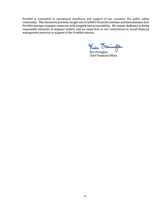FirstNet is committed to operational excellence and support of our customer, the public safety community. This document provides insight into FirstNet's financial activities and demonstrates how FirstNet manages taxpayer resources with integrity and accountability. We remain dedicated to being responsible stewards of taxpayer dollars, and we stand firm in our commitment to sound financial management practices in support of the FirstNet mission.

Kin Sainzton

**Kim Farington Chief Financial Officer**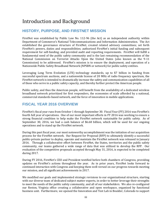# <span id="page-4-0"></span>Introduction and Background

# **HISTORY, PURPOSE, AND FIRSTNET MISSION**

FirstNet was established by Public Law No. 112-96 (the Act) as an independent authority within Department of Commerce's National Telecommunications and Information Administration. The Act established the governance structure of FirstNet; created related advisory committees; set forth FirstNet's powers, duties and responsibilities; authorized FirstNet's initial funding and subsequent requirement for self-funding; and provided audit and reporting requirements. FirstNet will fulfill a fundamental need of the public safety community and is the last remaining recommendation of the National Commission on Terrorist Attacks Upon the United States (also known as the 9-11 Commission) to be addressed. FirstNet's mission is to ensure the deployment, and operation of a Nationwide Public Safety Broadband Network (NPSBN or network) for public safety entities.

Leveraging Long Term Evolution (LTE) technology standards, up to \$7 billion in funding from successful spectrum auctions, and a nationwide license of 20 MHz of radio frequency spectrum, the FirstNet network is intended to dramatically increase the safety and communication capabilities of all of those who serve in a public safety capacity, and thereby further protect the American people.

Public safety, and thus the American people, will benefit from the availability of a dedicated wireless broadband network prioritized for first responders, the economies of scale afforded by a national, commercial standards-based network, and the force of innovation in mobile applications.

# **FISCAL YEAR 2016 OVERVIEW**

FirstNet's fiscal year runs from October 1 through September 30. Fiscal Year (FY) 2016 was FirstNet's fourth full year of operations. One of our most important efforts in FY 2016 was working to ensure a strong financial condition to help make the FirstNet network sustainable for public safety. As of September 30, 2016, we had a cash balance of \$6.68 billion, which will be used for our ongoing operations and to stand up the FirstNet network.

During this past fiscal year, our most noteworthy accomplishment was the initiation of our acquisition process for the FirstNet network. Our Request for Proposal (RFP) to ultimately identify a successful public-private partner to deploy, operate and maintain the FirstNet network was released in January 2016. Through a collaborative effort between FirstNet, the States, territories and the public safety community, our teams gathered a wide range of data that was utilized to develop the RFP. Our evaluation of the competitive proposals accepted through May 31, 2016, is expected to be completed during 2017.

During FY 2016, FirstNet's CEO and President testified before both chambers of Congress, providing updates on FirstNet's actions throughout the year. As in prior years, FirstNet looks forward to continued interaction with Congress and keeping them well-versed on our progress towards meeting our mission, and all significant achievements in 2017.

We modified our goals and implemented strategic revisions to our organizational structure, starting with our diverse team of dedicated subject matter experts, in order to better leverage their strengths to meet the needs of the public safety community, and all of our stakeholders. We also re-configured our Reston, Virginia office creating a collaborative and open workspace, organized by functional business unit. Furthermore, we opened the Innovation and Test Lab in Boulder, Colorado to support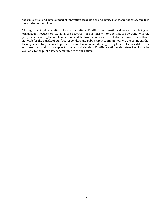the exploration and development of innovative technologies and devices for the public safety and first responder communities.

Through the implementation of these initiatives, FirstNet has transitioned away from being an organization focused on planning the execution of our mission, to one that is operating with the purpose of ensuring the implementation and deployment of a secure, reliable nationwide broadband network for the benefit of our first responders and public safety communities. We are confident that through our entrepreneurial approach, commitment to maintaining strong financial stewardship over our resources, and strong support from our stakeholders, FirstNet's nationwide network will soon be available to the public safety communities of our nation.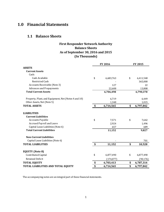# **1.0 Financial Statements**

# **1.1 Balance Sheets**

# **First Responder Network Authority Balance Sheets As of September 30, 2016 and 2015 (In Thousands)**

|                                                      | <b>FY 2016</b>  | <b>FY 2015</b>  |  |  |  |
|------------------------------------------------------|-----------------|-----------------|--|--|--|
| <b>ASSETS</b>                                        |                 |                 |  |  |  |
| <b>Current Assets</b>                                |                 |                 |  |  |  |
| Cash:                                                |                 |                 |  |  |  |
| Cash Available                                       | \$<br>6,683,763 | \$<br>6,411,548 |  |  |  |
| <b>Restricted Cash</b>                               |                 | 365,000         |  |  |  |
| Accounts Receivable (Note 3)                         | 127             | 22              |  |  |  |
| <b>Advances and Prepayments</b>                      | 22,608          | 13,808          |  |  |  |
| <b>Total Current Assets</b>                          | 6,706,498       | 6,790,378       |  |  |  |
| Property, Plant, and Equipment, Net (Notes 4 and 10) | 6,719           | 6,449           |  |  |  |
| Other Assets, Net (Note 5)                           | 1,348           | 1,015           |  |  |  |
| <b>TOTAL ASSETS</b>                                  | \$<br>6,714,565 | \$<br>6,797,842 |  |  |  |
| <b>LIABILITIES</b>                                   |                 |                 |  |  |  |
| <b>Current Liabilities</b>                           |                 |                 |  |  |  |
| <b>Accounts Payable</b>                              | \$<br>7,571     | \$<br>7,642     |  |  |  |
| <b>Accrued Payroll and Leave</b>                     | 2,924           | 1,496           |  |  |  |
| Capital Lease Liabilities (Note 6)                   | 657             | 689             |  |  |  |
| <b>Total Current Liabilities</b>                     | 11,152          | 9,827           |  |  |  |
| <b>Non-Current Liabilities</b>                       |                 |                 |  |  |  |
| Capital Lease Liabilities (Note 6)                   |                 | 701             |  |  |  |
| <b>TOTAL LIABILITIES</b>                             | \$<br>11,152    | \$<br>10,528    |  |  |  |
| <b>EQUITY (Note 8)</b>                               |                 |                 |  |  |  |
| Contributed Capital                                  | \$<br>6,877,490 | \$<br>6,877,490 |  |  |  |
| <b>Retained Deficit</b>                              | (174, 077)      | (90, 176)       |  |  |  |
| <b>TOTAL EQUITY</b>                                  | \$<br>6,703,413 | \$<br>6,787,314 |  |  |  |
| <b>TOTAL LIABILITIES AND TOTAL EQUITY</b>            | \$<br>6,714,565 | \$<br>6,797,842 |  |  |  |

The accompanying notes are an integral part of these financial statements.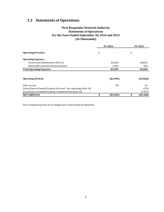# <span id="page-7-0"></span>**1.2 Statements of Operations**

# **First Responder Network Authority Statements of Operations For the Years Ended September 30, 2016 and 2015 (In Thousands)**

|                                                                    | <b>FY 2016</b> | <b>FY 2015</b>  |
|--------------------------------------------------------------------|----------------|-----------------|
| <b>Operating Revenues</b>                                          | \$             | \$              |
| <b>Operating Expenses</b>                                          |                |                 |
| General and Administrative (Note 2)                                | 82,050         | 48,656          |
| Depreciation and Amortization Expense                              | 1.949          | 364             |
| <b>Total Operating Expenses</b>                                    | 83,999         | 49,020          |
| <b>Operating (Deficit)</b>                                         | (83,999)       | (49, 020)       |
| Other Income                                                       | 98             | 63              |
| (Loss)/Gain on Donated Property Received - Non-operating (Note 10) |                | (159)           |
| (Loss)/Gain on Donated Property Transferred Out (Note 10)          |                | (1,252)         |
| <b>NET (DEFICIT)</b>                                               | (83,901)       | \$<br>(50, 368) |

The accompanying notes are an integral part of these financial statements.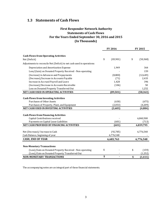# <span id="page-8-0"></span>**1.3 Statements of Cash Flows**

# **(In Thousands) For the Years Ended September 30, 2016 and 2015 First Responder Network Authority Statements of Cash Flows**

|                                                                        | <b>FY 2016</b> | <b>FY 2015</b> |           |  |
|------------------------------------------------------------------------|----------------|----------------|-----------|--|
|                                                                        |                |                |           |  |
| <b>Cash Flows from Operating Activities</b>                            |                |                |           |  |
| Net (Deficit)                                                          | \$<br>(83,901) | \$             | (50, 368) |  |
| Adjustments to reconcile Net (Deficit) to net cash used in operations: |                |                |           |  |
| Depreciation and Amortization Expense                                  | 1,949          |                | 364       |  |
| Loss/(Gain) on Donated Property Received - Non-operating               |                |                | 159       |  |
| (Increase) in Advances and Prepayments                                 | (8,800)        |                | (12, 649) |  |
| (Decrease)/Increase in Accounts Payable                                | (71)           |                | 2,433     |  |
| Increase in Accrued Payroll and Leave                                  | 1,428          |                | 396       |  |
| (Increase)/Decrease in Accounts Receivable                             | (106)          |                | 50        |  |
| Loss on Donated Property Transferred Out                               |                |                | 1,252     |  |
| <b>NET CASH USED IN OPERATING ACTIVITIES</b>                           | (89, 501)      |                | (58, 363) |  |
|                                                                        |                |                |           |  |
| <b>Cash Flows from Investing Activities</b>                            |                |                |           |  |
| <b>Purchases of Other Assets</b>                                       | (630)          |                | (675)     |  |
| Purchases of Property, Plant, and Equipment                            | (2,053)        |                | (4,209)   |  |
| NET CASH USED IN INVESTING ACTIVITIES                                  | (2,683)        |                | (4,884)   |  |
|                                                                        |                |                |           |  |
| <b>Cash Flows from Financing Activities</b>                            |                |                |           |  |
| Capital Contributions received                                         |                |                | 6,840,508 |  |
| Payments on Capital Lease Liabilities                                  | (601)          |                | (713)     |  |
| NET CASH PROVIDED BY FINANCING ACTIVITIES                              | (601)          |                | 6,839,795 |  |
|                                                                        |                |                |           |  |
| Net (Decrease) / Increase in Cash                                      | (92, 785)      |                | 6,776,548 |  |
| Cash Balance, beginning of year                                        | 6,776,548      |                |           |  |
| <b>CASH, END OF YEAR</b>                                               | 6,683,763      |                | 6,776,548 |  |
|                                                                        |                |                |           |  |
| <b>Non-Monetary Transactions</b>                                       |                |                |           |  |
| (Loss)/Gain on Donated Property Received - Non-operating               | \$             | \$             | (159)     |  |
| (Loss)/Gain on Donated Property Transferred Out                        |                |                | (1, 252)  |  |
| <b>NON-MONETARY TRANSACTIONS</b>                                       | \$             | \$             | (1, 411)  |  |

The accompanying notes are an integral part of these financial statements.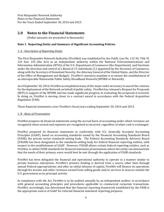# <span id="page-9-0"></span>**2.0 Notes to the Financial Statements**

(Dollar amounts are presented in thousands)

## **Note 1. Reporting Entity and Summary of Significant Accounting Policies**

#### *1. A - Description of Reporting Entity*

The First Responder Network Authority (FirstNet) was established by the *Public Law No. 112-96, Title VI, 126 Stat. 256* (the Act) as an independent authority within the National Telecommunications and Information Administration (NTIA) of the U.S. Department of Commerce (the Department), and functions under the direction and control of a Board of 15 individuals (12 appointed by the Secretary of Commerce, along with the Secretary of Homeland Security, the Attorney General of the United States, and the Director of the Office of Management and Budget). FirstNet's statutory mandate is to ensure the establishment of an interoperable Nationwide Public Safety Broadband Network (NPSBN or Network).

As of September 30, 2016, FirstNet accomplished many of the major tasks necessary to award the contract for the deployment of the Network on behalf of public safety. FirstNet has released a Request for Proposals (RFP) in support of the NPSBN and has made significant progress in evaluating the proposals it received. In doing so, FirstNet is moving closer to a contract award in accordance with the Federal Acquisition Regulation (FAR).

These financial statements cover FirstNet's fiscal years ending September 30, 2016 and 2015.

#### *1. B - Basis of Presentation*

FirstNet prepares its financial statements using the accrual basis of accounting under which revenues are recognized when earned and expenses are recognized as incurred, regardless of when cash is exchanged.

FirstNet prepared its financial statements in conformity with U.S. Generally Accepted Accounting Principles (GAAP), based on accounting standards issued by the Financial Accounting Standards Board (FASB), the private sector standards-setting body. The Federal Accounting Standards Advisory Board (FASAB) has been designated as the standards-setting body for federal financial reporting entities, with respect to the establishment of GAAP. However, FASAB allows certain federal reporting entities, such as FirstNet, to utilize FASB standards for financial statement presentations where the entity can demonstrate that the needs of their primary users would best be met through the application of FASB standards.

FirstNet has been delegated the financial and operational authority to operate in a manner similar to private business enterprises. FirstNet's primary funding is derived from a source other than through annual Federal appropriations; and after an initial infusion of capital, FirstNet will finance its operations through fee income and other revenues earned from selling goods and/or services to sources outside the U.S. government as its principal activity.

In compliance with the Act, FirstNet is to be audited annually by an independent auditor, in accordance with general accounting principles and procedures applicable to commercial corporate transactions. FirstNet, accordingly, has determined that the financial reporting framework established by the FASB is the appropriate source of GAAP for external financial statement reporting purposes.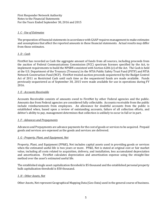## *1. C - Use of Estimates*

The preparation of financial statements in accordance with GAAP requires management to make estimates and assumptions that affect the reported amounts in these financial statements. Actual results may differ from those estimates.

### *1. D - Cash*

FirstNet has recorded as Cash the aggregate amount of funds from all sources, including proceeds from the auction of Federal Communications Commission (FCC) spectrum licenses specified by the Act, to implement requirements to build the NPSBN consistent with Section 6206 (e) of the Act. The Cash is held at the U.S. Department of the Treasury (Treasury) in the NTIA Public Safety Trust Fund (PSTF) and NTIA Network Construction Fund (NCF). FirstNet treated auction proceeds sequestered by the Budget Control Act of 2011 as Restricted Cash until such time as the sequestered funds are made available. Funds previously sequestered as of September 30, 2015 were made available for use in operations during FY 2016.

#### *1. E - Accounts Receivable*

Accounts Receivable consists of amounts owed to FirstNet by other Federal agencies and the public. Amounts due from Federal agencies are considered fully collectable. Accounts receivable from the public include reimbursements from employees. An allowance for doubtful accounts from the public is established when, based upon a review of outstanding accounts, failure of all collection efforts, and debtor's ability to pay, management determines that collection is unlikely to occur in full or in part.

#### *1. F - Advances and Prepayments*

Advances and Prepayments are advance payments for the cost of goods or services to be acquired. Prepaid goods and services are expensed as the goods and services are delivered.

# *1. G - Property, Plant, and Equipment, Net*

Property, Plant, and Equipment (PP&E), Net includes capital assets used in providing goods or services when the estimated useful life is two years or more. PP&E, Net is stated at original cost or fair market value, including all costs related to acquisition, delivery, and installation, less accumulated depreciation and amortization. FirstNet calculates depreciation and amortization expense using the straight-line method over the asset's estimated useful life.

The established single asset capitalization threshold is \$5 thousand and the established personal property bulk capitalization threshold is \$50 thousand.

#### *1. H - Other Assets, Net*

Other Assets, Net represent Geographical Mapping Data (Geo-Data) used in the general course of business.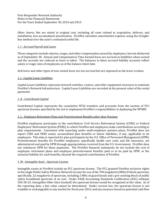Other Assets, Net are stated at original cost, including all costs related to acquisition, delivery, and installation, less accumulated amortization. FirstNet calculates amortization expense using the straightline method over the asset's estimated useful life.

#### *1. I - Accrued Payroll and Leave*

These categories include salaries, wages, and other compensation earned by employees, but not disbursed as of September 30. Annual and Compensatory Time Earned leave are accrued as liabilities when earned and the accruals are reduced as leave is taken. The balances in these accrued liability accounts reflect salary or wage rates of employees as of the balance sheet date.

Sick leave and other types of non-vested leave are not accrued but are expensed as the leave is taken.

#### *1. J - Capital Lease Liabilities*

Capital Lease Liabilities represent network switches, routers, and other equipment necessary to maintain FirstNet's Network Infrastructure. Capital Lease Liabilities are recorded at the present value of the rental payments.

#### *1. K - Contributed Capital*

Contributed Capital represents the cumulative NTIA transfers and proceeds from the auction of FCC spectrum licenses specified by the Act to implement FirstNet's responsibilities in deploying the NPSBN.

#### *1. L - Employee Retirement Plans and Postretirement Benefits other than Pensions*

FirstNet employees participate in the contributory Civil Service Retirement System (CSRS) or Federal Employees' Retirement System (FERS), to which FirstNet and employees make contributions according to plan requirements. Consistent with reporting under multi-employer pension plans, FirstNet does not report CSRS and FERS assets, accumulated plan benefits or future liabilities, if any, applicable to its employees. This data is reported for plan participants by the U.S. Office of Personnel Management (OPM). Postretirement benefits for FirstNet employees, specifically health care costs and life insurance, are administered and paid by OPM through appropriations received from the U.S. Government. FirstNet does not reimburse OPM for these payments. The FirstNet financial statements do not include the cost of employee retirement plans and employee postretirement benefits paid or to be paid by OPM, or the actuarial liability for such benefits, beyond the required contributions of FirstNet.

#### *1. M - Intangible Asset - Spectrum License*

Intangible assets at FirstNet include an FCC spectrum license. The FCC granted FirstNet exclusive rights to the single Public Safety Wireless Network License for use of the 700 megahertz (MHz) D block spectrum; specifically, 22 megahertz of spectrum, including 2 MHz of guard bands and a pre-existing block of public safety broadband spectrum at no cost. Under FASB Accounting Standards Codification (ASC) subtopic 350-30-25, *Intangibles Other than Goodwill*, the spectrum license would be recognized at fair value. As of the reporting date, a fair value cannot be determined. Under current law, the spectrum license is not tradable or exchangeable in any market for fiscal year 2016, and any measure based on potential cash flow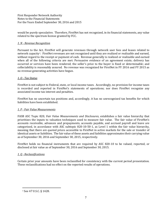would be purely speculative. Therefore, FirstNet has not recognized, in its financial statements, any value related to the spectrum license granted by FCC.

#### *1. N - Revenue Recognition*

Pursuant to the Act, FirstNet will generate revenues through network user fees and leases related to network capacity<sup>[1](#page-12-0)</sup>. FirstNet revenues are not recognized until they are realized or realizable and earned, without regard to the receipt or payment of cash. Revenue generally is realized or realizable and earned when all of the following criteria are met: Persuasive evidence of an agreement exists; delivery has occurred or services have been rendered; the seller's price to the buyer is fixed or determinable; and collectability is reasonably assured. No revenue was recognized for FirstNet in FY 2016 and FY 2015 as no revenue generating activities have begun.

#### *1. O - Tax Status*

FirstNet is not subject to Federal, state, or local income taxes. Accordingly, no provision for income taxes is recorded and reported in FirstNet's statements of operations; nor does FirstNet recognize any associated income tax interest and penalties.

FirstNet has no uncertain tax positions and, accordingly, it has no unrecognized tax benefits for which liabilities have been established.

#### *1. P - Fair Value Measurements*

FASB ASC Topic 820, *Fair Value Measurements and Disclosures*, establishes a fair value hierarchy that prioritizes the inputs to valuation techniques used to measure fair value. The fair value of FirstNet's accounts receivable, advances and prepayments, accounts payable, and accrued payroll and leave are categorized, in accordance with ASC subtopic 820-10-50-1, as Level 1 within the fair value hierarchy, meaning that there are quoted prices accessible to FirstNet in active markets for the sale or transfer of identical assets or liabilities. The fair value of these assets and liabilities approximates their carrying value as of September 30, 2016 and September 30, 2015, respectively.

FirstNet holds no financial instruments that are required by ASC 820-10 to be valued, reported, or disclosed at fair value as of September 30, 2016 and September 30, 2015.

#### *1. Q - Reclassifications*

Certain prior year amounts have been reclassified for consistency with the current period presentation. These reclassifications had no effect on the reported results of operations.

 $\overline{a}$ 

<span id="page-12-0"></span><sup>1</sup> See 47 U.S.C. § 1428.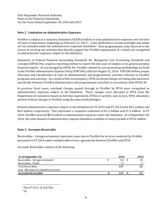#### **Note 2. Limitation on Administrative Expenses**

FirstNet is subject to a statutory limitation of \$100.0 million in total administrative expenses over the first 10 years of operations, beginning on February 22, 2012[2](#page-13-0). Cos[ts](#page-13-1) attributed to certain oversight and audits are not included under the administrative expenses limitation3. Non-programmatic costs incurred in the course of carrying out activities that directly support the FirstNet organization as a whole are recognized as administrative expenses subject to the limitation.

Statement of Federal Financial Accounting Standards #4, *Managerial Cost Accounting Standards and Concepts* (SFFAS #4), requires reporting entities to report the full costs of outputs in its general purpose financial reports. As encouraged by SFFAS #4, FirstNet refined its cost accounting methodology set forth in the *FirstNet Administrative Expense Policy* (FNP100), effective August 31, 2016. FNP100 defines proper allocation and classification of costs as administrative and programmatic activities relevant to FirstNet programs and activities. As a result of this revised policy, NTIA overhead charges are being allocated more specifically between FirstNet administrative and programmatic activities, in accordance with SFFAS #4.

In previous fiscal years, overhead charges passed through to FirstNet by NTIA were recognized as administrative expenses subject to the limitation. These charges were allocated to NTIA from the Department of Commerce based on full time equivalents (FTEs) or activity, and, in turn, NTIA allocated a portion of these charges to FirstNet using the same methodologies.

Revised administrative expenses subject to the limitation for FY 2015 and FY 2014 were \$5.6 million and \$6.0 million, respectively. This represents a respective reduction of \$1.2 million and \$1.3 million. In FY 2016, FirstNet incurred \$8.9 million in administrative expenses under the limitation. As of September 30, 2016, the total amount of administrative expense limitation available in future periods is \$76.6 million.

#### **Note 3. Accounts Receivable**

Receivables – Intragovernmental represents sums due to FirstNet for services rendered by FirstNet personnel in FY 2016 under reimbursable service agreements between FirstNet and NTIA.

Accounts Receivable consists of the following:

| As of September 30.                   | 2016 | 2015 |
|---------------------------------------|------|------|
| Receivables - Intragovernmental       | 116  | 20   |
| Receivables - Public                  |      |      |
| <b>Total Receivables</b>              | 127  |      |
| Less: Allowance for doubtful accounts | -    |      |
| <b>Accounts Receivable</b>            |      |      |

<span id="page-13-0"></span><sup>2</sup> See 47 U.S.C. § 1427(b).

**.** 

<span id="page-13-1"></span><sup>3</sup> Id.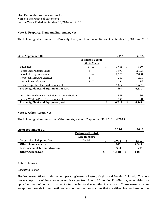#### **Note 4. Property, Plant and Equipment, Net**

The following table summarizes Property, Plant, and Equipment, Net as of September 30, 2016 and 2015:

| As of September 30,                             |                         | 2016        |      | 2015  |
|-------------------------------------------------|-------------------------|-------------|------|-------|
|                                                 | <b>Estimated Useful</b> |             |      |       |
|                                                 | Life in Years           |             |      |       |
| Equipment                                       | $3 - 10$                | \$<br>1.455 | - \$ | 529   |
| Assets Under Capital Lease                      | $3 - 7$                 | 1,971       |      | 2.103 |
| Leasehold Improvements                          | $3 - 4$                 | 2,177       |      | 2,008 |
| Perpetual Software Licenses                     | $3 - 7$                 | 251         |      | 201   |
| Internal Use Software                           | $3 - 7$                 | 51          |      | 35    |
| Other Property, Plant, and Equipment            | $3 - 4$                 | 1.662       |      | 1,661 |
| Property, Plant, and Equipment, at cost         |                         | 7.567       |      | 6,537 |
|                                                 |                         |             |      |       |
| Less: Accumulated depreciation and amortization |                         | 1.839       |      | 186   |
| Capital Work In Progress - Equipment            |                         | 991         |      | 98    |
| <b>Property, Plant, and Equipment, Net</b>      |                         | \$<br>6.719 | \$   | 6.449 |

#### **Note 5. Other Assets, Net**

The following table summarizes Other Assets, Net as of September 30, 2016 and 2015:

| As of September 30,            |                         |   | 2016  | 2015        |
|--------------------------------|-------------------------|---|-------|-------------|
|                                | <b>Estimated Useful</b> |   |       |             |
|                                | Life in Years           |   |       |             |
| Geographical Mapping Data      | $3 - 10$                |   | 1.942 | \$<br>1,312 |
| Other Assets, at cost          |                         |   | 1.942 | 1,312       |
| Less: Accumulated amortization |                         |   | 594   | 297         |
| <b>Other Assets, Net</b>       |                         | S | 1.348 | 1.015       |

#### **Note 6. Leases**

#### *Operating Leases*

FirstNet leases office facilities under operating leases in Reston, Virginia and Boulder, Colorado. The noncancelable portion of these leases generally ranges from four to 16 months. FirstNet may relinquish space upon four months' notice at any point after the first twelve months of occupancy. These leases, with few exceptions, provide for automatic renewal options and escalations that are either fixed or based on the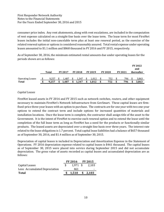consumer price index. Any rent abatements, along with rent escalations, are included in the computation of rent expense calculated on a straight-line basis over the lease term. The lease term for most FirstNet leases includes the initial non-cancelable term plus at least one renewal period, as the exercise of the related renewal option or options is considered reasonably assured. Total rental expense under operating leases amounted to \$1.1 million and \$868 thousand in FY 2016 and FY 2015, respectively.

As of September 30, 2016, the minimum estimated rental amounts due under operating leases for the periods shown are as follows:

|                         | Total |       | <b>FY 2018</b><br><b>FY 2017</b> |       |  |       |  | <b>FY 2019</b> | <b>FY 2020</b> | <b>FY 2021</b> | <b>FY 2022</b><br>and<br>thereafter |       |  |
|-------------------------|-------|-------|----------------------------------|-------|--|-------|--|----------------|----------------|----------------|-------------------------------------|-------|--|
| <b>Operating Leases</b> | S     | 9.257 | \$                               | 1.487 |  | 1.347 |  | 1.012          | 752            | 796            |                                     | 3,863 |  |
| Total                   |       | 9.257 |                                  | L.487 |  | 1.347 |  | 1.012          | 752            | 796            |                                     | 3,863 |  |

# *Capital Leases*

FirstNet leased assets in FY 2016 and FY 2015 such as network switches, routers, and other equipment necessary to maintain FirstNet's Network Infrastructure from GovSmart. These capital leases are firmfixed-price three-year leases with an option to purchase. The contracts are for one year with two one-year options to extend the contract term and include options for increased quantities of materials and installation locations. Once the lease term is complete, the contractor shall assign title of the asset to the Government. It is the intent of FirstNet to exercise each renewal option and to extend the lease until the completion of the full lease term as long as FirstNet has a need for the products or functionally similar products. The leased assets are depreciated over a straight line basis over three years. The interest rate related to the lease obligations is 1.7 percent. Total capital lease liabilities had a balance of \$657 thousand as of September 30, 2016, and \$1.4 million as of September 30, 2015.

Depreciation of capital leases is included in Depreciation and Amortization Expense in the Statement of Operations. FY 2016 depreciation expense related to capital leases is \$461 thousand. The capital leases as of September 30, 2015 were placed into service during September 2015 and did not accumulate depreciation. The gross value of assets recorded as capital leases and accumulated depreciation are as follows:

|                                | FY 2016 FY 2015       |                          |
|--------------------------------|-----------------------|--------------------------|
| Capital Leases                 | 1.971 \$              | 2.103                    |
| Less: Accumulated Depreciation | 461                   | $\overline{\phantom{0}}$ |
| Total                          | $$1,510 \quad $2,103$ |                          |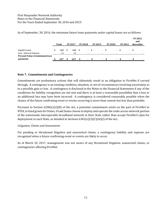As of September, 30, 2016, the minimum future lease payments under capital leases are as follows:

|                                            | Total     | <b>FY 2017</b> | <b>FY 2018</b>                     |        | <b>FY 2019</b> |      | <b>FY 2020</b> | <b>FY 2021</b> |      | <b>FY 2022</b><br>and<br>thereafter |
|--------------------------------------------|-----------|----------------|------------------------------------|--------|----------------|------|----------------|----------------|------|-------------------------------------|
| Capital Leases<br>Less: Interest Expense   | 668<br>11 | 668 \$<br>11   | $\sim$<br>$\overline{\phantom{a}}$ | - \$   |                | $-5$ | $\sim 100$     |                | $-S$ |                                     |
| Present Value of minimum lease<br>payments | 657       | 657            |                                    | $-$ \$ |                | - 5  | - 5            |                |      |                                     |

#### **Note 7. Commitments and Contingencies**

Commitments are preliminary actions that will ultimately result in an obligation to FirstNet if carried through. A contingency is an existing condition, situation, or set of circumstances involving uncertainty as to a possible gain or loss. A contingency is disclosed in the Notes to the Financial Statements if any of the conditions for liability recognition are not met and there is at least a reasonable possibility that a loss or an additional loss may have been incurred. A contingency is considered reasonably possible when the chance of the future confirming event or events occurring is more than remote but less than probable.

Pursuant to Section 6206(e)(2)(B) of the Act, a potential commitment exists on the part of FirstNet to NTIA, to fund grants for States, if said States choose to deploy and operate the radio access network portion of the nationwide interoperable broadband network in their State rather than accept FirstNet's plan for deployment in such State, as detailed in Sections 6302(e)(3)(C)(iii)(I) of the Act.

#### *Litigation, Claims and Assessments*

For pending or threatened litigation and unasserted claims, a contingency liability and expense are recognized when a future confirming event or events are likely to occur.

As of March 10, 2017, management was not aware of any threatened litigation, unasserted claims, or contingencies affecting FirstNet.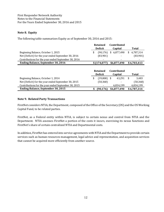### **Note 8. Equity**

The following table summarizes Equity as of September 30, 2016 and 2015:

|                                                     | Retained          | Contributed     |    |             |
|-----------------------------------------------------|-------------------|-----------------|----|-------------|
|                                                     | <b>Deficit</b>    | Capital         |    | Total       |
| Beginning Balance, October 1, 2015                  | \$<br>(90,176)    | 6,877,490<br>\$ | S. | 6,787,314   |
| Net (Deficit) for the year ended September 30, 2016 | (83,901)          |                 |    | (83,901)    |
| Contributions for the year ended September 30, 2016 |                   |                 |    |             |
| <b>Ending Balance, September 30, 2016</b>           | \$(174,077)       | \$6,877,490     |    | \$6,703,413 |
|                                                     |                   |                 |    |             |
|                                                     |                   |                 |    |             |
|                                                     | <b>Retained</b>   | Contributed     |    |             |
|                                                     | <b>Deficit</b>    | Capital         |    | Total       |
| Beginning Balance, October 1, 2014                  | \$<br>(39,808) \$ | 43.291          | S  | 3,483       |
| Net (Deficit) for the year ended September 30, 2015 | (50, 368)         |                 |    | (50, 368)   |
| Contributions for the year ended September 30, 2015 |                   | 6.834.199       |    | 6,834,199   |

#### **Note 9. Related Party Transactions**

FirstNet considers NTIA, the Department, composed of the Office of the Secretary (OS) and the OS Working Capital Fund, to be related parties.

FirstNet, as a Federal entity within NTIA, is subject to certain nexus and control from NTIA and the Department. NTIA assesses FirstNet a portion of the costs it incurs, exercising its nexus functions and FirstNet's share of certain centralized NTIA and Departmental costs.

In addition, FirstNet has entered into service agreements with NTIA and the Department to provide certain services such as human resources management, legal advice and representation, and acquisition services that cannot be acquired more efficiently from another source.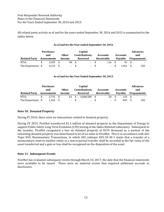All related party activity as of and for the years ended September 30, 2016 and 2015 is summarized in the tables below:

| <b>Related Party</b> | <b>Purchases</b><br>and<br><b>Assessments</b> | <b>Other</b><br>Income | Capital<br>Contributions,<br>Received |        |      | <b>Accounts</b><br>Receivable |      | <b>Accounts</b><br><b>Pavable</b> | <b>Advances</b><br>and<br><b>Prepayments</b> |
|----------------------|-----------------------------------------------|------------------------|---------------------------------------|--------|------|-------------------------------|------|-----------------------------------|----------------------------------------------|
| <b>NTIA</b>          | 2.959                                         | 98                     | - \$                                  | $\sim$ | - \$ | 116                           | - \$ | 93                                | $\overline{\phantom{0}}$                     |
| The Department \$    | 4.215                                         | $\blacksquare$         | - \$                                  | $\sim$ | - \$ | $\sim 100$                    | - \$ | 1.563                             | 182                                          |

#### **As of and for the Year ended September 30, 2016**

#### **As of and for the Year Ended September 30, 2015**

|                      |                    | <b>Purchases</b> | Capital |                |                |           |            |                 |                 |     |                    | <b>Advances</b> |  |
|----------------------|--------------------|------------------|---------|----------------|----------------|-----------|------------|-----------------|-----------------|-----|--------------------|-----------------|--|
|                      | and                |                  |         | Other          | Contributions. |           |            | <b>Accounts</b> | <b>Accounts</b> |     | and                |                 |  |
| <b>Related Party</b> | <b>Assessments</b> |                  | Income  |                | Received       |           | Receivable |                 | Pavable         |     | <b>Prepayments</b> |                 |  |
| <b>NTIA</b>          |                    | 2.731            |         | 63             |                | 6.840.508 |            | 20              | \$              | 124 |                    | $\blacksquare$  |  |
| The Department \$    |                    | 1.424            |         | $\blacksquare$ |                | $\sim$    |            | $\sim$          |                 | 839 |                    | 182             |  |

#### **Note 10. Donated Property**

During FY 2016, there were no transactions related to donated property.

During FY 2015, FirstNet transferred \$1.3 million of donated property to the Department of Energy to support Public Safety Long Term Evolution (LTE) testing at the Idaho National Laboratory. Subsequent to the transfer, FirstNet recognized a loss on donated property of \$159 thousand as a portion of the remaining donated property was determined to be of no value to FirstNet. This is in accordance with ASC Topic 845, Nonmonetary Transactions, in which ASC subtopic 845-10-30-1 states that a transfer of a nonmonetary asset to another entity in a nonreciprocal transfer shall be recorded at the fair value of the asset transferred and a gain or loss shall be recognized on the disposition of the asset.

#### **Note 11. Subsequent Events**

FirstNet has evaluated subsequent events through March 10, 2017, the date that the financial statements were available to be issued. There were no material events that required additional accruals or disclosures.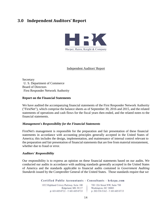# <span id="page-19-0"></span>**3.0 Independent Auditors' Report**



#### Independent Auditors' Report

**Secretary** U. S. Department of Commerce Board of Directors First Responder Network Authority

#### **Report on the Financial Statements**

We have audited the accompanying financial statements of the First Responder Network Authority ("FirstNet"), which comprise the balance sheets as of September 30, 2016 and 2015, and the related statements of operations and cash flows for the fiscal years then ended, and the related notes to the financial statements.

#### *Management's Responsibility for the Financial Statements*

FirstNet's management is responsible for the preparation and fair presentation of these financial statements in accordance with accounting principles generally accepted in the United States of America; this includes the design, implementation, and maintenance of internal control relevant to the preparation and fair presentation of financial statements that are free from material misstatement, whether due to fraud or error.

#### *Auditors' Responsibility*

Our responsibility is to express an opinion on these financial statements based on our audits. We conducted our audits in accordance with auditing standards generally accepted in the United States of America and the standards applicable to financial audits contained in *Government Auditing Standards* issued by the Comptroller General of the United States. Those standards require that we

#### Certified Public Accountants · Consultants · hrkcpa.com

1052 Highland Colony Parkway, Suite 100 Ridgeland, MS 39157 p: 601-605-0722 · f: 601-605-0733

700 12th Street NW, Suite 700 Washington, DC 20005 p: 202-558-5162  $\cdot$  f: 601-605-0733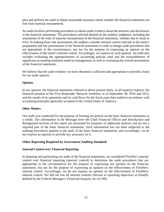plan and perform the audit to obtain reasonable assurance about whether the financial statements are free from material misstatement.

An audit involves performing procedures to obtain audit evidence about the amounts and disclosures in the financial statements. The procedures selected depend on the auditors' judgment, including the assessment of the risks of material misstatement of the financial statements, whether due to fraud or error. In making those risk assessments, the auditors consider internal control relevant to the entity's preparation and fair presentation of the financial statements in order to design audit procedures that are appropriate in the circumstances, but not for the purpose of expressing an opinion on the effectiveness of the entity's internal control. Accordingly, we express no such opinion. An audit also includes evaluating the appropriateness of accounting policies used and the reasonableness of significant accounting estimates made by management, as well as evaluating the overall presentation of the financial statements.

We believe that the audit evidence we have obtained is sufficient and appropriate to provide a basis for our audit opinion.

# *Opinion*

In our opinion, the financial statements referred to above present fairly, in all material respects, the financial position of the First Responder Network Authority as of September 30, 2016 and 2015, and the results of its operations and its cash flows for the fiscal years then ended in accordance with accounting principles generally accepted in the United States of America.

# *Other Matters*

Our audit was conducted for the purpose of forming an opinion on the basic financial statements as a whole. The information in the Message from the Chief Financial Officer and Introduction and Background sections of this report are presented for purposes of additional analysis and are not a required part of the basic financial statements. Such information has not been subjected to the auditing procedures applied in the audit of the basic financial statements, and accordingly, we do not express an opinion or provide any assurance on it.

# **Other Reporting Required by** *Government Auditing Standards*

# *Internal Control over Financial Reporting*

In planning and performing our audit of the financial statements, we considered FirstNet's internal control over financial reporting (internal control) to determine the audit procedures that are appropriate in the circumstances for the purpose of expressing our opinion on the financial statements, but not for the purpose of expressing an opinion on the effectiveness of FirstNet's internal control. Accordingly, we do not express an opinion on the effectiveness of FirstNet's internal control. We did not test all internal controls relevant to operating objectives as broadly defined by the *Federal Managers' Financial Integrity Act of 1982.*